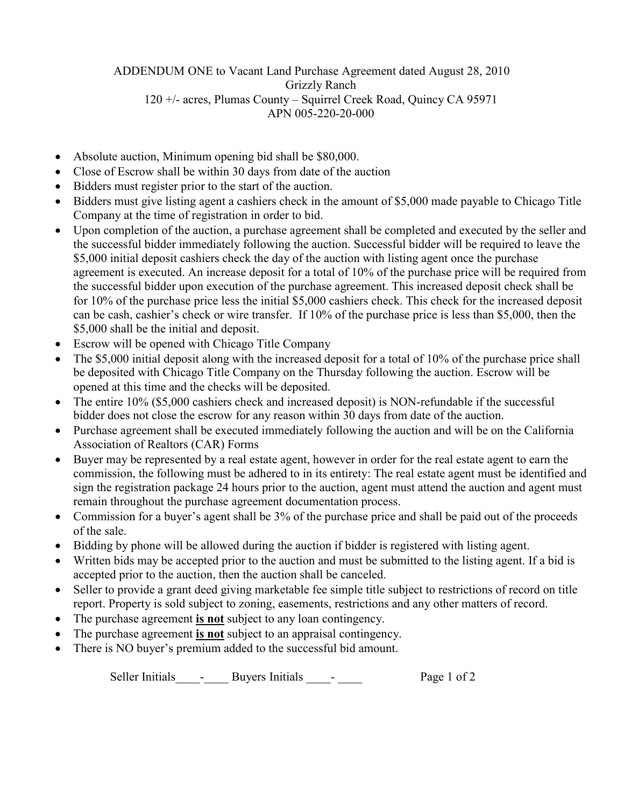ADDENDUM ONE to Vacant Land Purchase Agreement dated August 28, 2010 Grizzly Ranch 120 +/- acres, Plumas County – Squirrel Creek Road, Quincy CA 95971 APN 005-220-20-000

- Absolute auction, Minimum opening bid shall be \$80,000.
- Close of Escrow shall be within 30 days from date of the auction
- Bidders must register prior to the start of the auction.
- Bidders must give listing agent a cashiers check in the amount of \$5,000 made payable to Chicago Title Company at the time of registration in order to bid.
- Upon completion of the auction, a purchase agreement shall be completed and executed by the seller and the successful bidder immediately following the auction. Successful bidder will be required to leave the \$5,000 initial deposit cashiers check the day of the auction with listing agent once the purchase agreement is executed. An increase deposit for a total of 10% of the purchase price will be required from the successful bidder upon execution of the purchase agreement. This increased deposit check shall be for 10% of the purchase price less the initial \$5,000 cashiers check. This check for the increased deposit can be cash, cashier's check or wire transfer. If 10% of the purchase price is less than \$5,000, then the \$5,000 shall be the initial and deposit.
- Escrow will be opened with Chicago Title Company
- The \$5,000 initial deposit along with the increased deposit for a total of 10% of the purchase price shall be deposited with Chicago Title Company on the Thursday following the auction. Escrow will be opened at this time and the checks will be deposited.
- The entire 10% (\$5,000 cashiers check and increased deposit) is NON-refundable if the successful bidder does not close the escrow for any reason within 30 days from date of the auction.
- Purchase agreement shall be executed immediately following the auction and will be on the California Association of Realtors (CAR) Forms
- Buyer may be represented by a real estate agent, however in order for the real estate agent to earn the commission, the following must be adhered to in its entirety: The real estate agent must be identified and sign the registration package 24 hours prior to the auction, agent must attend the auction and agent must remain throughout the purchase agreement documentation process.
- Commission for a buyer's agent shall be 3% of the purchase price and shall be paid out of the proceeds of the sale.
- Bidding by phone will be allowed during the auction if bidder is registered with listing agent.
- Written bids may be accepted prior to the auction and must be submitted to the listing agent. If a bid is accepted prior to the auction, then the auction shall be canceled.
- Seller to provide a grant deed giving marketable fee simple title subject to restrictions of record on title report. Property is sold subject to zoning, easements, restrictions and any other matters of record.
- The purchase agreement is not subject to any loan contingency.
- The purchase agreement is not subject to an appraisal contingency.
- There is NO buyer's premium added to the successful bid amount.

Seller Initials \_\_\_\_\_\_\_\_ Buyers Initials \_\_\_\_\_\_\_ Page 1 of 2